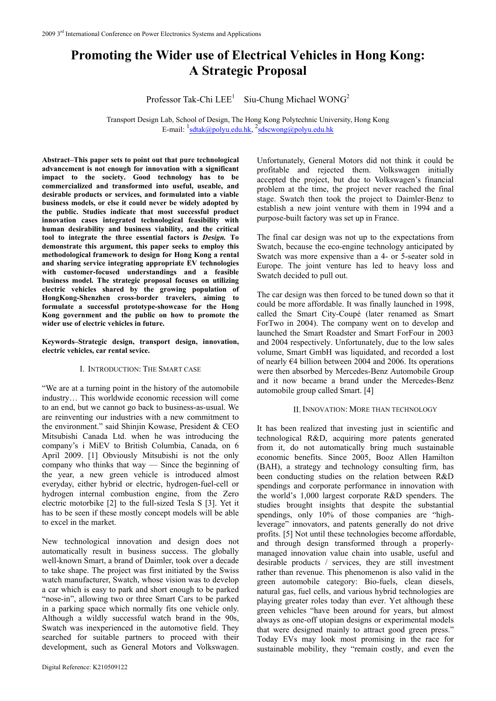# **Promoting the Wider use of Electrical Vehicles in Hong Kong: A Strategic Proposal**

Professor Tak-Chi  $LEE<sup>1</sup>$  Siu-Chung Michael WONG<sup>2</sup>

Transport Design Lab, School of Design, The Hong Kong Polytechnic University, Hong Kong E-mail:  $\frac{1}{s}$  [sdtak@polyu.edu.hk,](mailto:sdtak@polyu.edu.hk)  $\frac{2}{s}$  [sdscwong@polyu.edu.hk](mailto:sdscwong@polyu.edu.hk)

**Abstract–This paper sets to point out that pure technological advancement is not enough for innovation with a significant impact to the society. Good technology has to be commercialized and transformed into useful, useable, and desirable products or services, and formulated into a viable business models, or else it could never be widely adopted by the public. Studies indicate that most successful product innovation cases integrated technological feasibility with human desirability and business viability, and the critical tool to integrate the three essential factors is** *Design.* **To demonstrate this argument, this paper seeks to employ this methodological framework to design for Hong Kong a rental and sharing service integrating appropriate EV technologies with customer-focused understandings and a feasible business model. The strategic proposal focuses on utilizing electric vehicles shared by the growing population of HongKong-Shenzhen cross-border travelers, aiming to formulate a successful prototype-showcase for the Hong Kong government and the public on how to promote the wider use of electric vehicles in future.** 

**Keywords–Strategic design, transport design, innovation, electric vehicles, car rental sevice.** 

## I. INTRODUCTION: THE SMART CASE

"We are at a turning point in the history of the automobile industry… This worldwide economic recession will come to an end, but we cannot go back to business-as-usual. We are reinventing our industries with a new commitment to the environment." said Shinjin Kowase, President & CEO Mitsubishi Canada Ltd. when he was introducing the company's i MiEV to British Columbia, Canada, on 6 April 2009. [1] Obviously Mitsubishi is not the only company who thinks that way — Since the beginning of the year, a new green vehicle is introduced almost everyday, either hybrid or electric, hydrogen-fuel-cell or hydrogen internal combustion engine, from the Zero electric motorbike [2] to the full-sized Tesla S [3]. Yet it has to be seen if these mostly concept models will be able to excel in the market.

New technological innovation and design does not automatically result in business success. The globally well-known Smart, a brand of Daimler, took over a decade to take shape. The project was first initiated by the Swiss watch manufacturer, Swatch, whose vision was to develop a car which is easy to park and short enough to be parked "nose-in", allowing two or three Smart Cars to be parked in a parking space which normally fits one vehicle only. Although a wildly successful watch brand in the 90s, Swatch was inexperienced in the automotive field. They searched for suitable partners to proceed with their development, such as General Motors and Volkswagen.

Unfortunately, General Motors did not think it could be profitable and rejected them. Volkswagen initially accepted the project, but due to Volkswagen's financial problem at the time, the project never reached the final stage. Swatch then took the project to Daimler-Benz to establish a new joint venture with them in 1994 and a purpose-built factory was set up in France.

The final car design was not up to the expectations from Swatch, because the eco-engine technology anticipated by Swatch was more expensive than a 4- or 5-seater sold in Europe. The joint venture has led to heavy loss and Swatch decided to pull out.

The car design was then forced to be tuned down so that it could be more affordable. It was finally launched in 1998, called the Smart City-Coupé (later renamed as Smart ForTwo in 2004). The company went on to develop and launched the Smart Roadster and Smart ForFour in 2003 and 2004 respectively. Unfortunately, due to the low sales volume, Smart GmbH was liquidated, and recorded a lost of nearly €4 billion between 2004 and 2006. Its operations were then absorbed by Mercedes-Benz Automobile Group and it now became a brand under the Mercedes-Benz automobile group called Smart. [4]

## II. INNOVATION: MORE THAN TECHNOLOGY

It has been realized that investing just in scientific and technological R&D, acquiring more patents generated from it, do not automatically bring much sustainable economic benefits. Since 2005, Booz Allen Hamilton (BAH), a strategy and technology consulting firm, has been conducting studies on the relation between R&D spendings and corporate performance in innovation with the world's 1,000 largest corporate R&D spenders. The studies brought insights that despite the substantial spendings, only 10% of those companies are "highleverage" innovators, and patents generally do not drive profits. [5] Not until these technologies become affordable, and through design transformed through a properlymanaged innovation value chain into usable, useful and desirable products / services, they are still investment rather than revenue. This phenomenon is also valid in the green automobile category: Bio-fuels, clean diesels, natural gas, fuel cells, and various hybrid technologies are playing greater roles today than ever. Yet although these green vehicles "have been around for years, but almost always as one-off utopian designs or experimental models that were designed mainly to attract good green press." Today EVs may look most promising in the race for sustainable mobility, they "remain costly, and even the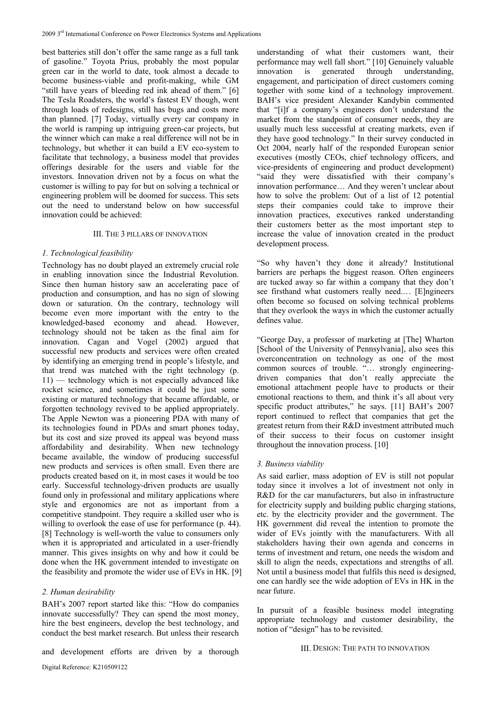best batteries still don't offer the same range as a full tank of gasoline." Toyota Prius, probably the most popular green car in the world to date, took almost a decade to become business-viable and profit-making, while GM "still have years of bleeding red ink ahead of them." [6] The Tesla Roadsters, the world's fastest EV though, went through loads of redesigns, still has bugs and costs more than planned. [7] Today, virtually every car company in the world is ramping up intriguing green-car projects, but the winner which can make a real difference will not be in technology, but whether it can build a EV eco-system to facilitate that technology, a business model that provides offerings desirable for the users and viable for the investors. Innovation driven not by a focus on what the customer is willing to pay for but on solving a technical or engineering problem will be doomed for success. This sets out the need to understand below on how successful innovation could be achieved:

## III. THE 3 PILLARS OF INNOVATION

#### *1. Technological feasibility*

Technology has no doubt played an extremely crucial role in enabling innovation since the Industrial Revolution. Since then human history saw an accelerating pace of production and consumption, and has no sign of slowing down or saturation. On the contrary, technology will become even more important with the entry to the knowledged-based economy and ahead. However, technology should not be taken as the final aim for innovation. Cagan and Vogel (2002) argued that successful new products and services were often created by identifying an emerging trend in people's lifestyle, and that trend was matched with the right technology (p. 11) — technology which is not especially advanced like rocket science, and sometimes it could be just some existing or matured technology that became affordable, or forgotten technology revived to be applied appropriately. The Apple Newton was a pioneering PDA with many of its technologies found in PDAs and smart phones today, but its cost and size proved its appeal was beyond mass affordability and desirability. When new technology became available, the window of producing successful new products and services is often small. Even there are products created based on it, in most cases it would be too early. Successful technology-driven products are usually found only in professional and military applications where style and ergonomics are not as important from a competitive standpoint. They require a skilled user who is willing to overlook the ease of use for performance (p. 44). [8] Technology is well-worth the value to consumers only when it is appropriated and articulated in a user-friendly manner. This gives insights on why and how it could be done when the HK government intended to investigate on the feasibility and promote the wider use of EVs in HK. [9]

# *2. Human desirability*

BAH's 2007 report started like this: "How do companies innovate successfully? They can spend the most money, hire the best engineers, develop the best technology, and conduct the best market research. But unless their research

and development efforts are driven by a thorough

understanding of what their customers want, their performance may well fall short." [10] Genuinely valuable innovation is generated through understanding, engagement, and participation of direct customers coming together with some kind of a technology improvement. BAH's vice president Alexander Kandybin commented that "[i]f a company's engineers don't understand the market from the standpoint of consumer needs, they are usually much less successful at creating markets, even if they have good technology." In their survey conducted in Oct 2004, nearly half of the responded European senior executives (mostly CEOs, chief technology officers, and vice-presidents of engineering and product development) "said they were dissatisfied with their company's innovation performance… And they weren't unclear about how to solve the problem: Out of a list of 12 potential steps their companies could take to improve their innovation practices, executives ranked understanding their customers better as the most important step to increase the value of innovation created in the product development process.

"So why haven't they done it already? Institutional barriers are perhaps the biggest reason. Often engineers are tucked away so far within a company that they don't see firsthand what customers really need.… [E]ngineers often become so focused on solving technical problems that they overlook the ways in which the customer actually defines value.

"George Day, a professor of marketing at [The] Wharton [School of the University of Pennsylvania], also sees this overconcentration on technology as one of the most common sources of trouble. "… strongly engineeringdriven companies that don't really appreciate the emotional attachment people have to products or their emotional reactions to them, and think it's all about very specific product attributes," he says. [11] BAH's 2007 report continued to reflect that companies that get the greatest return from their R&D investment attributed much of their success to their focus on customer insight throughout the innovation process. [10]

# *3. Business viability*

As said earlier, mass adoption of EV is still not popular today since it involves a lot of investment not only in R&D for the car manufacturers, but also in infrastructure for electricity supply and building public charging stations, etc. by the electricity provider and the government. The HK government did reveal the intention to promote the wider of EVs jointly with the manufacturers. With all stakeholders having their own agenda and concerns in terms of investment and return, one needs the wisdom and skill to align the needs, expectations and strengths of all. Not until a business model that fulfils this need is designed, one can hardly see the wide adoption of EVs in HK in the near future.

In pursuit of a feasible business model integrating appropriate technology and customer desirability, the notion of "design" has to be revisited.

III. DESIGN: THE PATH TO INNOVATION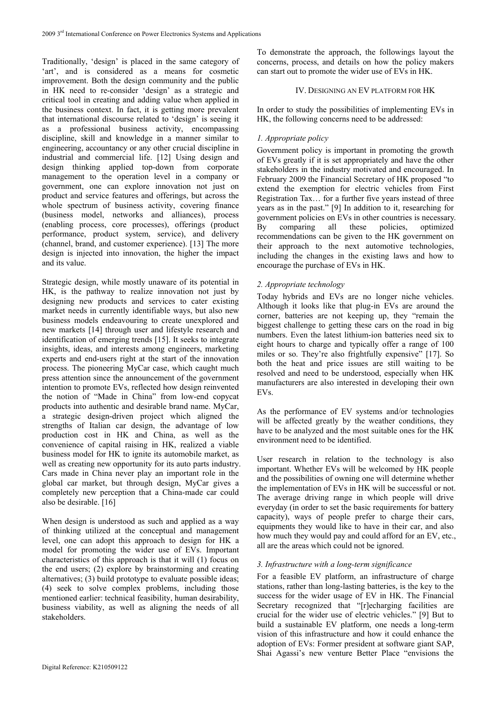Traditionally, 'design' is placed in the same category of 'art', and is considered as a means for cosmetic improvement. Both the design community and the public in HK need to re-consider 'design' as a strategic and critical tool in creating and adding value when applied in the business context. In fact, it is getting more prevalent that international discourse related to 'design' is seeing it as a professional business activity, encompassing discipline, skill and knowledge in a manner similar to engineering, accountancy or any other crucial discipline in industrial and commercial life. [12] Using design and design thinking applied top-down from corporate management to the operation level in a company or government, one can explore innovation not just on product and service features and offerings, but across the whole spectrum of business activity, covering finance (business model, networks and alliances), process (enabling process, core processes), offerings (product performance, product system, service), and delivery (channel, brand, and customer experience). [13] The more design is injected into innovation, the higher the impact and its value.

Strategic design, while mostly unaware of its potential in HK, is the pathway to realize innovation not just by designing new products and services to cater existing market needs in currently identifiable ways, but also new business models endeavouring to create unexplored and new markets [14] through user and lifestyle research and identification of emerging trends [15]. It seeks to integrate insights, ideas, and interests among engineers, marketing experts and end-users right at the start of the innovation process. The pioneering MyCar case, which caught much press attention since the announcement of the government intention to promote EVs, reflected how design reinvented the notion of "Made in China" from low-end copycat products into authentic and desirable brand name. MyCar, a strategic design-driven project which aligned the strengths of Italian car design, the advantage of low production cost in HK and China, as well as the convenience of capital raising in HK, realized a viable business model for HK to ignite its automobile market, as well as creating new opportunity for its auto parts industry. Cars made in China never play an important role in the global car market, but through design, MyCar gives a completely new perception that a China-made car could also be desirable. [16]

When design is understood as such and applied as a way of thinking utilized at the conceptual and management level, one can adopt this approach to design for HK a model for promoting the wider use of EVs. Important characteristics of this approach is that it will (1) focus on the end users; (2) explore by brainstorming and creating alternatives; (3) build prototype to evaluate possible ideas; (4) seek to solve complex problems, including those mentioned earlier: technical feasibility, human desirability, business viability, as well as aligning the needs of all stakeholders.

To demonstrate the approach, the followings layout the concerns, process, and details on how the policy makers can start out to promote the wider use of EVs in HK.

## IV. DESIGNING AN EV PLATFORM FOR HK

In order to study the possibilities of implementing EVs in HK, the following concerns need to be addressed:

# *1. Appropriate policy*

Government policy is important in promoting the growth of EVs greatly if it is set appropriately and have the other stakeholders in the industry motivated and encouraged. In February 2009 the Financial Secretary of HK proposed "to extend the exemption for electric vehicles from First Registration Tax… for a further five years instead of three years as in the past." [9] In addition to it, researching for government policies on EVs in other countries is necessary. By comparing all these policies, optimized recommendations can be given to the HK government on their approach to the next automotive technologies, including the changes in the existing laws and how to encourage the purchase of EVs in HK.

# *2. Appropriate technology*

Today hybrids and EVs are no longer niche vehicles. Although it looks like that plug-in EVs are around the corner, batteries are not keeping up, they "remain the biggest challenge to getting these cars on the road in big numbers. Even the latest lithium-ion batteries need six to eight hours to charge and typically offer a range of 100 miles or so. They're also frightfully expensive" [17]. So both the heat and price issues are still waiting to be resolved and need to be understood, especially when HK manufacturers are also interested in developing their own EVs.

As the performance of EV systems and/or technologies will be affected greatly by the weather conditions, they have to be analyzed and the most suitable ones for the HK environment need to be identified.

User research in relation to the technology is also important. Whether EVs will be welcomed by HK people and the possibilities of owning one will determine whether the implementation of EVs in HK will be successful or not. The average driving range in which people will drive everyday (in order to set the basic requirements for battery capacity), ways of people prefer to charge their cars, equipments they would like to have in their car, and also how much they would pay and could afford for an EV, etc., all are the areas which could not be ignored.

# *3. Infrastructure with a long-term significance*

For a feasible EV platform, an infrastructure of charge stations, rather than long-lasting batteries, is the key to the success for the wider usage of EV in HK. The Financial Secretary recognized that "[r]echarging facilities are crucial for the wider use of electric vehicles." [9] But to build a sustainable EV platform, one needs a long-term vision of this infrastructure and how it could enhance the adoption of EVs: Former president at software giant SAP, Shai Agassi's new venture Better Place "envisions the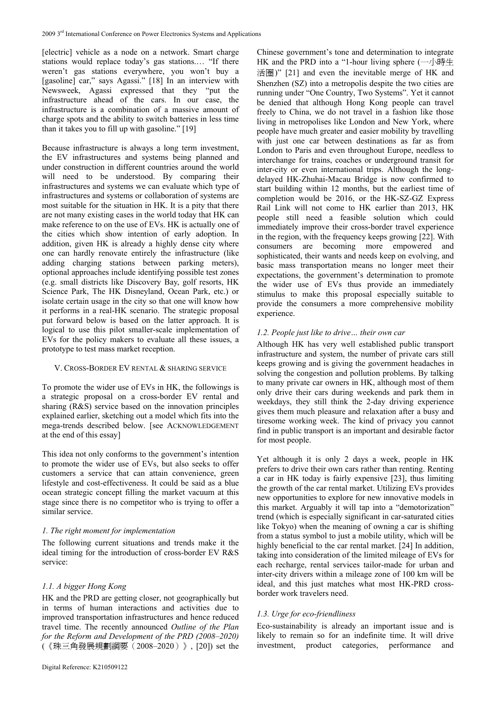[electric] vehicle as a node on a network. Smart charge stations would replace today's gas stations.… "If there weren't gas stations everywhere, you won't buy a [gasoline] car," says Agassi." [18] In an interview with Newsweek, Agassi expressed that they "put the infrastructure ahead of the cars. In our case, the infrastructure is a combination of a massive amount of charge spots and the ability to switch batteries in less time than it takes you to fill up with gasoline." [19]

Because infrastructure is always a long term investment, the EV infrastructures and systems being planned and under construction in different countries around the world will need to be understood. By comparing their infrastructures and systems we can evaluate which type of infrastructures and systems or collaboration of systems are most suitable for the situation in HK. It is a pity that there are not many existing cases in the world today that HK can make reference to on the use of EVs. HK is actually one of the cities which show intention of early adoption. In addition, given HK is already a highly dense city where one can hardly renovate entirely the infrastructure (like adding charging stations between parking meters), optional approaches include identifying possible test zones (e.g. small districts like Discovery Bay, golf resorts, HK Science Park, The HK Disneyland, Ocean Park, etc.) or isolate certain usage in the city so that one will know how it performs in a real-HK scenario. The strategic proposal put forward below is based on the latter approach. It is logical to use this pilot smaller-scale implementation of EVs for the policy makers to evaluate all these issues, a prototype to test mass market reception.

# V. CROSS-BORDER EV RENTAL & SHARING SERVICE

To promote the wider use of EVs in HK, the followings is a strategic proposal on a cross-border EV rental and sharing (R&S) service based on the innovation principles explained earlier, sketching out a model which fits into the mega-trends described below. [see ACKNOWLEDGEMENT at the end of this essay]

This idea not only conforms to the government's intention to promote the wider use of EVs, but also seeks to offer customers a service that can attain convenience, green lifestyle and cost-effectiveness. It could be said as a blue ocean strategic concept filling the market vacuum at this stage since there is no competitor who is trying to offer a similar service.

# *1. The right moment for implementation*

The following current situations and trends make it the ideal timing for the introduction of cross-border EV R&S service:

# *1.1. A bigger Hong Kong*

HK and the PRD are getting closer, not geographically but in terms of human interactions and activities due to improved transportation infrastructures and hence reduced travel time. The recently announced *Outline of the Plan for the Reform and Development of the PRD (2008–2020)*  (《珠三角發展規劃綱要(2008–2020)》, [20]) set the

Chinese government's tone and determination to integrate HK and the PRD into a "1-hour living sphere (一小時生 活圈)" [21] and even the inevitable merge of HK and Shenzhen (SZ) into a metropolis despite the two cities are running under "One Country, Two Systems". Yet it cannot be denied that although Hong Kong people can travel freely to China, we do not travel in a fashion like those living in metropolises like London and New York, where people have much greater and easier mobility by travelling with just one car between destinations as far as from London to Paris and even throughout Europe, needless to interchange for trains, coaches or underground transit for inter-city or even international trips. Although the longdelayed HK-Zhuhai-Macau Bridge is now confirmed to start building within 12 months, but the earliest time of completion would be 2016, or the HK-SZ-GZ Express Rail Link will not come to HK earlier than 2013, HK people still need a feasible solution which could immediately improve their cross-border travel experience in the region, with the frequency keeps growing [22]. With consumers are becoming more empowered and sophisticated, their wants and needs keep on evolving, and basic mass transportation means no longer meet their expectations, the government's determination to promote the wider use of EVs thus provide an immediately stimulus to make this proposal especially suitable to provide the consumers a more comprehensive mobility experience.

# *1.2. People just like to drive… their own car*

Although HK has very well established public transport infrastructure and system, the number of private cars still keeps growing and is giving the government headaches in solving the congestion and pollution problems. By talking to many private car owners in HK, although most of them only drive their cars during weekends and park them in weekdays, they still think the 2-day driving experience gives them much pleasure and relaxation after a busy and tiresome working week. The kind of privacy you cannot find in public transport is an important and desirable factor for most people.

Yet although it is only 2 days a week, people in HK prefers to drive their own cars rather than renting. Renting a car in HK today is fairly expensive [23], thus limiting the growth of the car rental market. Utilizing EVs provides new opportunities to explore for new innovative models in this market. Arguably it will tap into a "demotorization" trend (which is especially significant in car-saturated cities like Tokyo) when the meaning of owning a car is shifting from a status symbol to just a mobile utility, which will be highly beneficial to the car rental market. [24] In addition, taking into consideration of the limited mileage of EVs for each recharge, rental services tailor-made for urban and inter-city drivers within a mileage zone of 100 km will be ideal, and this just matches what most HK-PRD crossborder work travelers need.

# *1.3. Urge for eco-friendliness*

Eco-sustainability is already an important issue and is likely to remain so for an indefinite time. It will drive investment, product categories, performance and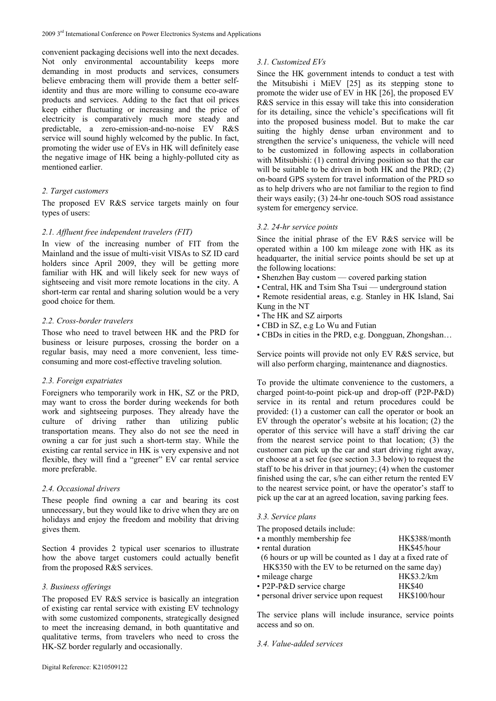convenient packaging decisions well into the next decades. Not only environmental accountability keeps more demanding in most products and services, consumers believe embracing them will provide them a better selfidentity and thus are more willing to consume eco-aware products and services. Adding to the fact that oil prices keep either fluctuating or increasing and the price of electricity is comparatively much more steady and predictable, a zero-emission-and-no-noise EV R&S service will sound highly welcomed by the public. In fact, promoting the wider use of EVs in HK will definitely ease the negative image of HK being a highly-polluted city as mentioned earlier.

## *2. Target customers*

The proposed EV R&S service targets mainly on four types of users:

#### *2.1. Affluent free independent travelers (FIT)*

In view of the increasing number of FIT from the Mainland and the issue of multi-visit VISAs to SZ ID card holders since April 2009, they will be getting more familiar with HK and will likely seek for new ways of sightseeing and visit more remote locations in the city. A short-term car rental and sharing solution would be a very good choice for them.

#### *2.2. Cross-border travelers*

Those who need to travel between HK and the PRD for business or leisure purposes, crossing the border on a regular basis, may need a more convenient, less timeconsuming and more cost-effective traveling solution.

#### *2.3. Foreign expatriates*

Foreigners who temporarily work in HK, SZ or the PRD, may want to cross the border during weekends for both work and sightseeing purposes. They already have the culture of driving rather than utilizing public transportation means. They also do not see the need in owning a car for just such a short-term stay. While the existing car rental service in HK is very expensive and not flexible, they will find a "greener" EV car rental service more preferable.

#### *2.4. Occasional drivers*

These people find owning a car and bearing its cost unnecessary, but they would like to drive when they are on holidays and enjoy the freedom and mobility that driving gives them.

Section 4 provides 2 typical user scenarios to illustrate how the above target customers could actually benefit from the proposed R&S services.

# *3. Business offerings*

The proposed EV R&S service is basically an integration of existing car rental service with existing EV technology with some customized components, strategically designed to meet the increasing demand, in both quantitative and qualitative terms, from travelers who need to cross the HK-SZ border regularly and occasionally.

#### *3.1. Customized EVs*

Since the HK government intends to conduct a test with the Mitsubishi i MiEV [25] as its stepping stone to promote the wider use of EV in HK [26], the proposed EV R&S service in this essay will take this into consideration for its detailing, since the vehicle's specifications will fit into the proposed business model. But to make the car suiting the highly dense urban environment and to strengthen the service's uniqueness, the vehicle will need to be customized in following aspects in collaboration with Mitsubishi: (1) central driving position so that the car will be suitable to be driven in both HK and the PRD; (2) on-board GPS system for travel information of the PRD so as to help drivers who are not familiar to the region to find their ways easily; (3) 24-hr one-touch SOS road assistance system for emergency service.

#### *3.2. 24-hr service points*

Since the initial phrase of the EV R&S service will be operated within a 100 km mileage zone with HK as its headquarter, the initial service points should be set up at the following locations:

- Shenzhen Bay custom covered parking station
- Central, HK and Tsim Sha Tsui underground station

• Remote residential areas, e.g. Stanley in HK Island, Sai Kung in the NT

- The HK and SZ airports
- CBD in SZ, e.g Lo Wu and Futian
- CBDs in cities in the PRD, e.g. Dongguan, Zhongshan…

Service points will provide not only EV R&S service, but will also perform charging, maintenance and diagnostics.

To provide the ultimate convenience to the customers, a charged point-to-point pick-up and drop-off (P2P-P&D) service in its rental and return procedures could be provided: (1) a customer can call the operator or book an EV through the operator's website at his location; (2) the operator of this service will have a staff driving the car from the nearest service point to that location; (3) the customer can pick up the car and start driving right away, or choose at a set fee (see section 3.3 below) to request the staff to be his driver in that journey; (4) when the customer finished using the car, s/he can either return the rented EV to the nearest service point, or have the operator's staff to pick up the car at an agreed location, saving parking fees.

#### *3.3. Service plans*

| The proposed details include:                              |               |  |
|------------------------------------------------------------|---------------|--|
| • a monthly membership fee                                 | HK\$388/month |  |
| • rental duration                                          | HK\$45/hour   |  |
| (6 hours or up will be counted as 1 day at a fixed rate of |               |  |
| HK\$350 with the EV to be returned on the same day)        |               |  |
| • mileage charge                                           | HK\$3.2/km    |  |
| • P2P-P&D service charge                                   | <b>HK\$40</b> |  |
| • personal driver service upon request                     | HK\$100/hour  |  |

The service plans will include insurance, service points access and so on.

#### *3.4. Value-added services*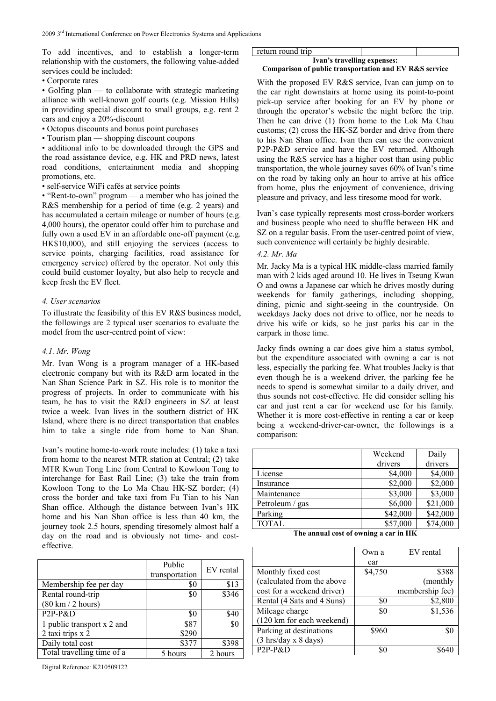To add incentives, and to establish a longer-term relationship with the customers, the following value-added services could be included:

• Corporate rates

• Golfing plan — to collaborate with strategic marketing alliance with well-known golf courts (e.g. Mission Hills) in providing special discount to small groups, e.g. rent 2 cars and enjoy a 20%-discount

- Octopus discounts and bonus point purchases
- Tourism plan shopping discount coupons

• additional info to be downloaded through the GPS and the road assistance device, e.g. HK and PRD news, latest road conditions, entertainment media and shopping promotions, etc.

• self-service WiFi cafés at service points

• "Rent-to-own" program — a member who has joined the R&S membership for a period of time (e.g. 2 years) and has accumulated a certain mileage or number of hours (e.g. 4,000 hours), the operator could offer him to purchase and fully own a used EV in an affordable one-off payment (e.g. HK\$10,000), and still enjoying the services (access to service points, charging facilities, road assistance for emergency service) offered by the operator. Not only this could build customer loyalty, but also help to recycle and keep fresh the EV fleet.

## *4. User scenarios*

To illustrate the feasibility of this EV R&S business model, the followings are 2 typical user scenarios to evaluate the model from the user-centred point of view:

#### *4.1. Mr. Wong*

Mr. Ivan Wong is a program manager of a HK-based electronic company but with its R&D arm located in the Nan Shan Science Park in SZ. His role is to monitor the progress of projects. In order to communicate with his team, he has to visit the R&D engineers in SZ at least twice a week. Ivan lives in the southern district of HK Island, where there is no direct transportation that enables him to take a single ride from home to Nan Shan.

Ivan's routine home-to-work route includes: (1) take a taxi from home to the nearest MTR station at Central; (2) take MTR Kwun Tong Line from Central to Kowloon Tong to interchange for East Rail Line; (3) take the train from Kowloon Tong to the Lo Ma Chau HK-SZ border; (4) cross the border and take taxi from Fu Tian to his Nan Shan office. Although the distance between Ivan's HK home and his Nan Shan office is less than 40 km, the journey took 2.5 hours, spending tiresomely almost half a day on the road and is obviously not time- and costeffective.

|                                     | Public<br>transportation | EV rental |
|-------------------------------------|--------------------------|-----------|
| Membership fee per day              | \$0                      | \$13      |
| Rental round-trip                   | \$0                      | \$346     |
| $(80 \text{ km} / 2 \text{ hours})$ |                          |           |
| P2P-P&D                             | \$0                      | \$40      |
| 1 public transport x 2 and          | \$87                     | \$0       |
| 2 taxi trips x 2                    | \$290                    |           |
| Daily total cost                    | \$377                    | \$398     |
| Total travelling time of a          | 5 hours                  | 2 hours   |

Digital Reference: K210509122

# return round trip **Ivan's travelling expenses:**

## **Comparison of public transportation and EV R&S service**

With the proposed EV R&S service, Ivan can jump on to the car right downstairs at home using its point-to-point pick-up service after booking for an EV by phone or through the operator's website the night before the trip. Then he can drive (1) from home to the Lok Ma Chau customs; (2) cross the HK-SZ border and drive from there to his Nan Shan office. Ivan then can use the convenient P2P-P&D service and have the EV returned. Although using the R&S service has a higher cost than using public transportation, the whole journey saves 60% of Ivan's time on the road by taking only an hour to arrive at his office from home, plus the enjoyment of convenience, driving pleasure and privacy, and less tiresome mood for work.

Ivan's case typically represents most cross-border workers and business people who need to shuffle between HK and SZ on a regular basis. From the user-centred point of view, such convenience will certainly be highly desirable.

## *4.2. Mr. Ma*

Mr. Jacky Ma is a typical HK middle-class married family man with 2 kids aged around 10. He lives in Tseung Kwan O and owns a Japanese car which he drives mostly during weekends for family gatherings, including shopping, dining, picnic and sight-seeing in the countryside. On weekdays Jacky does not drive to office, nor he needs to drive his wife or kids, so he just parks his car in the carpark in those time.

Jacky finds owning a car does give him a status symbol, but the expenditure associated with owning a car is not less, especially the parking fee. What troubles Jacky is that even though he is a weekend driver, the parking fee he needs to spend is somewhat similar to a daily driver, and thus sounds not cost-effective. He did consider selling his car and just rent a car for weekend use for his family. Whether it is more cost-effective in renting a car or keep being a weekend-driver-car-owner, the followings is a comparison:

|                 | Weekend  | Daily    |
|-----------------|----------|----------|
|                 | drivers  | drivers  |
| License         | \$4,000  | \$4,000  |
| Insurance       | \$2,000  | \$2,000  |
| Maintenance     | \$3,000  | \$3,000  |
| Petroleum / gas | \$6,000  | \$21,000 |
| Parking         | \$42,000 | \$42,000 |
| <b>TOTAL</b>    | \$57,000 | \$74,000 |

**The annual cost of owning a car in HK** 

|                                             | Own a   | EV rental       |
|---------------------------------------------|---------|-----------------|
|                                             | car     |                 |
| Monthly fixed cost                          | \$4,750 | \$388           |
| (calculated from the above                  |         | (monthly        |
| cost for a weekend driver)                  |         | membership fee) |
| Rental (4 Sats and 4 Suns)                  | \$0     | \$2,800         |
| Mileage charge                              | \$0     | \$1,536         |
| (120 km for each weekend)                   |         |                 |
| Parking at destinations                     | \$960   | \$0             |
| $(3 \text{ hrs/day} \times 8 \text{ days})$ |         |                 |
| $P2P-P&D$                                   | \$0     |                 |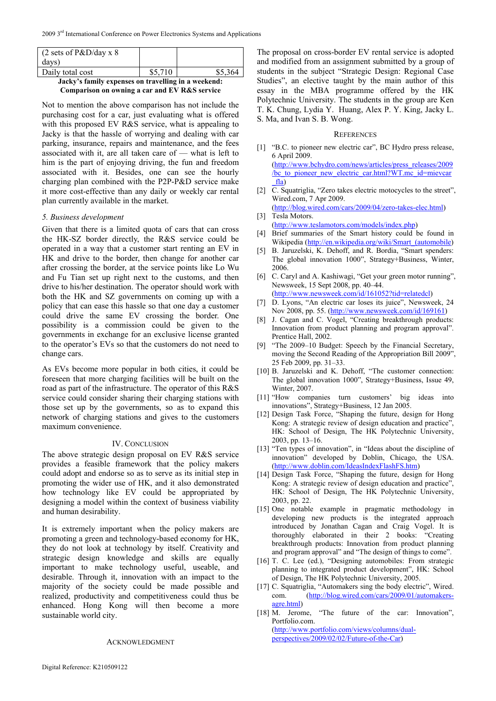| $(2 \text{ sets of } P\&D/day \times 8)$            |         |         |  |
|-----------------------------------------------------|---------|---------|--|
| days)                                               |         |         |  |
| Daily total cost                                    | \$5,710 | \$5,364 |  |
| Jacky's family expenses on travelling in a weekend: |         |         |  |

**Comparison on owning a car and EV R&S service** 

Not to mention the above comparison has not include the purchasing cost for a car, just evaluating what is offered with this proposed EV R&S service, what is appealing to Jacky is that the hassle of worrying and dealing with car parking, insurance, repairs and maintenance, and the fees associated with it, are all taken care of — what is left to him is the part of enjoying driving, the fun and freedom associated with it. Besides, one can see the hourly charging plan combined with the P2P-P&D service make it more cost-effective than any daily or weekly car rental plan currently available in the market.

# *5. Business development*

Given that there is a limited quota of cars that can cross the HK-SZ border directly, the R&S service could be operated in a way that a customer start renting an EV in HK and drive to the border, then change for another car after crossing the border, at the service points like Lo Wu and Fu Tian set up right next to the customs, and then drive to his/her destination. The operator should work with both the HK and SZ governments on coming up with a policy that can ease this hassle so that one day a customer could drive the same EV crossing the border. One possibility is a commission could be given to the governments in exchange for an exclusive license granted to the operator's EVs so that the customers do not need to change cars.

As EVs become more popular in both cities, it could be foreseen that more charging facilities will be built on the road as part of the infrastructure. The operator of this R&S service could consider sharing their charging stations with those set up by the governments, so as to expand this network of charging stations and gives to the customers maximum convenience.

#### IV. CONCLUSION

The above strategic design proposal on EV R&S service provides a feasible framework that the policy makers could adopt and endorse so as to serve as its initial step in promoting the wider use of HK, and it also demonstrated how technology like EV could be appropriated by designing a model within the context of business viability and human desirability.

It is extremely important when the policy makers are promoting a green and technology-based economy for HK, they do not look at technology by itself. Creativity and strategic design knowledge and skills are equally important to make technology useful, useable, and desirable. Through it, innovation with an impact to the majority of the society could be made possible and realized, productivity and competitiveness could thus be enhanced. Hong Kong will then become a more sustainable world city.

#### ACKNOWLEDGMENT

The proposal on cross-border EV rental service is adopted and modified from an assignment submitted by a group of students in the subject "Strategic Design: Regional Case Studies", an elective taught by the main author of this essay in the MBA programme offered by the HK Polytechnic University. The students in the group are Ken T. K. Chung, Lydia Y. Huang, Alex P. Y. King, Jacky L. S. Ma, and Ivan S. B. Wong.

#### **REFERENCES**

- [1] "B.C. to pioneer new electric car", BC Hydro press release, 6 April 2009. (http://www.bchydro.com/news/articles/press\_releases/2009 /bc\_to\_pioneer\_new\_electric\_car.html?WT.mc\_id=mievcar \_fla)
- [2] [C. Squatriglia, "Zero takes electric motocycles to the street",](http://www.bchydro.com/news/articles/press_releases/2009/bc_to_pioneer_new_electric_car.html?WT.mc_id=mievcar_fla) Wired.com, 7 Apr 2009.
- [\(http://blog.wired.com/cars/2009/04/zero-takes-elec.html\)](http://www.bchydro.com/news/articles/press_releases/2009/bc_to_pioneer_new_electric_car.html?WT.mc_id=mievcar_fla)  [3] Tesla Motors.
- (http://www.teslamotors.com/models/index.php) [4] [Brief summaries of the Smart history could be found](http://blog.wired.com/cars/2009/04/zero-takes-elec.html) in
- Wikipedia (http://en.wikipedia.org/wiki/Smart\_(automobile)
- [5] [B. Jaruzelski, K. Dehoff, and R. Bordia, "Sma](http://www.teslamotors.com/models/index.php)rt spenders: The global innovation 1000", Strategy+Business, Winter, 2006.
- [6] C. Caryl a[nd A. Kashiwagi, "Get your green motor running"](http://en.wikipedia.org/wiki/Smart_(automobile), Newsweek, 15 Sept 2008, pp. 40–44.
- (http://www.newsweek.com/id/161052?tid=relatedcl) [7] D. Lyons, "An electric car loses its juice", Newsweek, 24 Nov 2008, pp. 55. (http://www.newsweek.com/id/169161)
- [8] [J. Cagan and C. Vogel, "Creating breakthrough pro](http://www.newsweek.com/id/161052?tid=relatedcl)ducts: Innovation from product planning and program approval". Prentice Hall, 2002.
- [9] "The 2009–10 Bu[dget: Speech by the Financial Secretar](http://www.newsweek.com/id/169161)y, moving the Second Reading of the Appropriation Bill 2009", 25 Feb 2009, pp. 31–33.
- [10] B. Jaruzelski and K. Dehoff, "The customer connection: The global innovation 1000", Strategy+Business, Issue 49, Winter, 2007.
- [11] "How companies turn customers' big ideas into innovations", Strategy+Business, 12 Jan 2005.
- [12] Design Task Force, "Shaping the future, design for Hong Kong: A strategic review of design education and practice", HK: School of Design, The HK Polytechnic University, 2003, pp. 13–16.
- [13] "Ten types of innovation", in "Ideas about the discipline of innovation" developed by Doblin, Chicago, the USA. (http://www.doblin.com/IdeasIndexFlashFS.htm)
- [14] Design Task Force, "Shaping the future, design for Hong Kong: A strategic review of design education and practice", [HK: School of Design, The HK Polytechnic](http://www.doblin.com/IdeasIndexFlashFS.htm) University, 2003, pp. 22.
- [15] One notable example in pragmatic methodology in developing new products is the integrated approach introduced by Jonathan Cagan and Craig Vogel. It is thoroughly elaborated in their 2 books: "Creating breakthrough products: Innovation from product planning and program approval" and "The design of things to come".
- [16] T. C. Lee (ed.), "Designing automobiles: From strategic planning to integrated product development", HK: School of Design, The HK Polytechnic University, 2005.
- [17] C. Squatriglia, "Automakers sing the body electric", Wired. com. (http://blog.wired.com/cars/2009/01/automakersagre.html)
- [18] M. Jerome, "The future of the car: Innovation", Portfolio.com. [\(http://www.portfolio.com/views/columns/dual](http://blog.wired.com/cars/2009/01/automakers-agre.html)perspectives/2009/02/02/Future-of-the-Car)